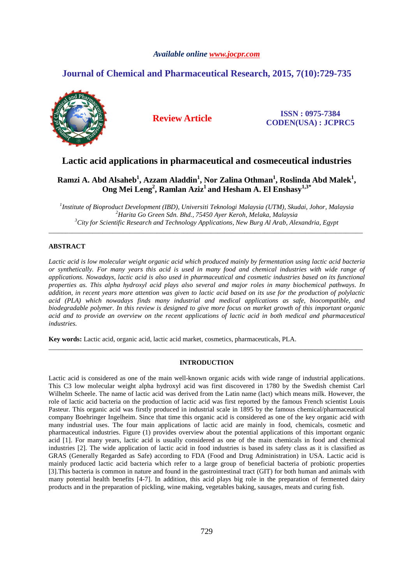## *Available online www.jocpr.com*

# **Journal of Chemical and Pharmaceutical Research, 2015, 7(10):729-735**



## **Review Article ISSN : 0975-7384 CODEN(USA) : JCPRC5**

# **Lactic acid applications in pharmaceutical and cosmeceutical industries**

# **Ramzi A. Abd Alsaheb<sup>1</sup> , Azzam Aladdin<sup>1</sup> , Nor Zalina Othman<sup>1</sup> , Roslinda Abd Malek<sup>1</sup> , Ong Mei Leng<sup>2</sup> , Ramlan Aziz<sup>1</sup>and Hesham A. El Enshasy1,3\***

*1 Institute of Bioproduct Development (IBD), Universiti Teknologi Malaysia (UTM), Skudai, Johor, Malaysia <sup>2</sup>Harita Go Green Sdn. Bhd., 75450 Ayer Keroh, Melaka, Malaysia <sup>3</sup>City for Scientific Research and Technology Applications, New Burg Al Arab, Alexandria, Egypt* 

\_\_\_\_\_\_\_\_\_\_\_\_\_\_\_\_\_\_\_\_\_\_\_\_\_\_\_\_\_\_\_\_\_\_\_\_\_\_\_\_\_\_\_\_\_\_\_\_\_\_\_\_\_\_\_\_\_\_\_\_\_\_\_\_\_\_\_\_\_\_\_\_\_\_\_\_\_\_\_\_\_\_\_\_\_\_\_\_\_\_\_\_\_

## **ABSTRACT**

*Lactic acid is low molecular weight organic acid which produced mainly by fermentation using lactic acid bacteria or synthetically. For many years this acid is used in many food and chemical industries with wide range of applications. Nowadays, lactic acid is also used in pharmaceutical and cosmetic industries based on its functional properties as. This alpha hydroxyl acid plays also several and major roles in many biochemical pathways. In addition, in recent years more attention was given to lactic acid based on its use for the production of polylactic acid (PLA) which nowadays finds many industrial and medical applications as safe, biocompatible, and biodegradable polymer. In this review is designed to give more focus on market growth of this important organic*  acid and to provide an overview on the recent applications of lactic acid in both medical and pharmaceutical *industries.* 

**Key words:** Lactic acid, organic acid, lactic acid market, cosmetics, pharmaceuticals, PLA.

### **INTRODUCTION**

\_\_\_\_\_\_\_\_\_\_\_\_\_\_\_\_\_\_\_\_\_\_\_\_\_\_\_\_\_\_\_\_\_\_\_\_\_\_\_\_\_\_\_\_\_\_\_\_\_\_\_\_\_\_\_\_\_\_\_\_\_\_\_\_\_\_\_\_\_\_\_\_\_\_\_\_\_\_\_\_\_\_\_\_\_\_\_\_\_\_\_\_\_

Lactic acid is considered as one of the main well-known organic acids with wide range of industrial applications. This C3 low molecular weight alpha hydroxyl acid was first discovered in 1780 by the Swedish chemist Carl Wilhelm Scheele. The name of lactic acid was derived from the Latin name (lact) which means milk. However, the role of lactic acid bacteria on the production of lactic acid was first reported by the famous French scientist Louis Pasteur. This organic acid was firstly produced in industrial scale in 1895 by the famous chemical/pharmaceutical company Boehringer Ingelheim. Since that time this organic acid is considered as one of the key organic acid with many industrial uses. The four main applications of lactic acid are mainly in food, chemicals, cosmetic and pharmaceutical industries. Figure (1) provides overview about the potential applications of this important organic acid [1]. For many years, lactic acid is usually considered as one of the main chemicals in food and chemical industries [2]. The wide application of lactic acid in food industries is based its safety class as it is classified as GRAS (Generally Regarded as Safe) according to FDA (Food and Drug Administration) in USA. Lactic acid is mainly produced lactic acid bacteria which refer to a large group of beneficial bacteria of probiotic properties [3].This bacteria is common in nature and found in the gastrointestinal tract (GIT) for both human and animals with many potential health benefits [4-7]. In addition, this acid plays big role in the preparation of fermented dairy products and in the preparation of pickling, wine making, vegetables baking, sausages, meats and curing fish.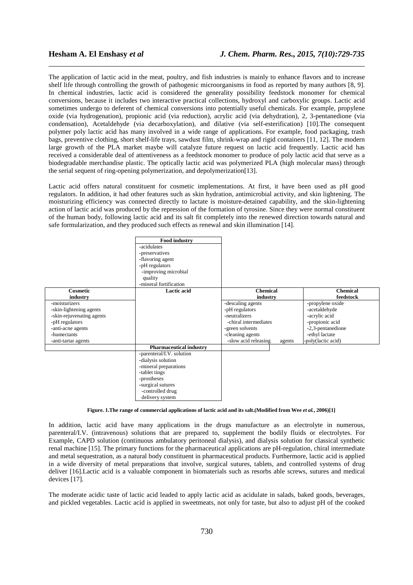The application of lactic acid in the meat, poultry, and fish industries is mainly to enhance flavors and to increase shelf life through controlling the growth of pathogenic microorganisms in food as reported by many authors [8, 9]. In chemical industries, lactic acid is considered the generality possibility feedstock monomer for chemical conversions, because it includes two interactive practical collections, hydroxyl and carboxylic groups. Lactic acid sometimes undergo to deferent of chemical conversions into potentially useful chemicals. For example, propylene oxide (via hydrogenation), propionic acid (via reduction), acrylic acid (via dehydration), 2, 3-pentanedione (via condensation), Acetaldehyde (via decarboxylation), and dilative (via self-esterification) [10].The consequent polymer poly lactic acid has many involved in a wide range of applications. For example, food packaging, trash bags, preventive clothing, short shelf-life trays, sawdust film, shrink-wrap and rigid containers [11, 12]. The modern large growth of the PLA market maybe will catalyze future request on lactic acid frequently. Lactic acid has received a considerable deal of attentiveness as a feedstock monomer to produce of poly lactic acid that serve as a biodegradable merchandise plastic. The optically lactic acid was polymerized PLA (high molecular mass) through the serial sequent of ring-opening polymerization, and depolymerization[13].

\_\_\_\_\_\_\_\_\_\_\_\_\_\_\_\_\_\_\_\_\_\_\_\_\_\_\_\_\_\_\_\_\_\_\_\_\_\_\_\_\_\_\_\_\_\_\_\_\_\_\_\_\_\_\_\_\_\_\_\_\_\_\_\_\_\_\_\_\_\_\_\_\_\_\_\_\_\_

Lactic acid offers natural constituent for cosmetic implementations. At first, it have been used as pH good regulators. In addition, it had other features such as skin hydration, antimicrobial activity, and skin lightening. The moisturizing efficiency was connected directly to lactate is moisture-detained capability, and the skin-lightening action of lactic acid was produced by the repression of the formation of tyrosine. Since they were normal constituent of the human body, following lactic acid and its salt fit completely into the renewed direction towards natural and safe formularization, and they produced such effects as renewal and skin illumination [14].



**Figure. 1.The range of commercial applications of lactic acid and its salt.(Modified from Wee** *et al.***, 2006)[1]** 

In addition, lactic acid have many applications in the drugs manufacture as an electrolyte in numerous, parenteral/I.V. (intravenous) solutions that are prepared to, supplement the bodily fluids or electrolytes. For Example, CAPD solution (continuous ambulatory peritoneal dialysis), and dialysis solution for classical synthetic renal machine [15]. The primary functions for the pharmaceutical applications are pH-regulation, chiral intermediate and metal sequestration, as a natural body constituent in pharmaceutical products. Furthermore, lactic acid is applied in a wide diversity of metal preparations that involve, surgical sutures, tablets, and controlled systems of drug deliver [16].Lactic acid is a valuable component in biomaterials such as resorbs able screws, sutures and medical devices [17].

The moderate acidic taste of lactic acid leaded to apply lactic acid as acidulate in salads, baked goods, beverages, and pickled vegetables. Lactic acid is applied in sweetmeats, not only for taste, but also to adjust pH of the cooked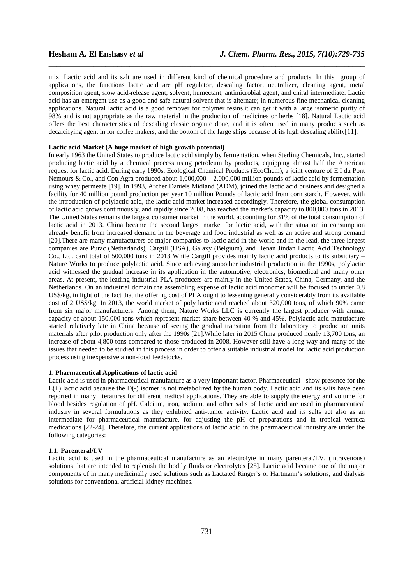mix. Lactic acid and its salt are used in different kind of chemical procedure and products. In this group of applications, the functions lactic acid are pH regulator, descaling factor, neutralizer, cleaning agent, metal composition agent, slow acid-release agent, solvent, humectant, antimicrobial agent, and chiral intermediate. Lactic acid has an emergent use as a good and safe natural solvent that is alternate; in numerous fine mechanical cleaning applications. Natural lactic acid is a good remover for polymer resins.it can get it with a large isomeric purity of 98% and is not appropriate as the raw material in the production of medicines or herbs [18]. Natural Lactic acid offers the best characteristics of descaling classic organic done, and it is often used in many products such as decalcifying agent in for coffee makers, and the bottom of the large ships because of its high descaling ability[11].

\_\_\_\_\_\_\_\_\_\_\_\_\_\_\_\_\_\_\_\_\_\_\_\_\_\_\_\_\_\_\_\_\_\_\_\_\_\_\_\_\_\_\_\_\_\_\_\_\_\_\_\_\_\_\_\_\_\_\_\_\_\_\_\_\_\_\_\_\_\_\_\_\_\_\_\_\_\_

### **Lactic acid Market (A huge market of high growth potential)**

In early 1963 the United States to produce lactic acid simply by fermentation, when Sterling Chemicals, Inc., started producing lactic acid by a chemical process using petroleum by products, equipping almost half the American request for lactic acid. During early 1990s, Ecological Chemical Products (EcoChem), a joint venture of E.I du Pont Nemours & Co., and Con Agra produced about  $1,000,000 - 2,000,000$  million pounds of lactic acid by fermentation using whey permeate [19]. In 1993, Archer Daniels Midland (ADM), joined the lactic acid business and designed a facility for 40 million pound production per year 10 million Pounds of lactic acid from corn starch. However, with the introduction of polylactic acid, the lactic acid market increased accordingly. Therefore, the global consumption of lactic acid grows continuously, and rapidly since 2008, has reached the market's capacity to 800,000 tons in 2013. The United States remains the largest consumer market in the world, accounting for 31% of the total consumption of lactic acid in 2013. China became the second largest market for lactic acid, with the situation in consumption already benefit from increased demand in the beverage and food industrial as well as an active and strong demand [20].There are many manufacturers of major companies to lactic acid in the world and in the lead, the three largest companies are Purac (Netherlands), Cargill (USA), Galaxy (Belgium), and Henan Jindan Lactic Acid Technology Co., Ltd. card total of 500,000 tons in 2013 While Cargill provides mainly lactic acid products to its subsidiary – Nature Works to produce polylactic acid. Since achieving smoother industrial production in the 1990s, polylactic acid witnessed the gradual increase in its application in the automotive, electronics, biomedical and many other areas. At present, the leading industrial PLA producers are mainly in the United States, China, Germany, and the Netherlands. On an industrial domain the assembling expense of lactic acid monomer will be focused to under 0.8 US\$/kg, in light of the fact that the offering cost of PLA ought to lessening generally considerably from its available cost of 2 US\$/kg. In 2013, the world market of poly lactic acid reached about 320,000 tons, of which 90% came from six major manufacturers. Among them, Nature Works LLC is currently the largest producer with annual capacity of about 150,000 tons which represent market share between 40 % and 45%. Polylactic acid manufacture started relatively late in China because of seeing the gradual transition from the laboratory to production units materials after pilot production only after the 1990s [21].While later in 2015 China produced nearly 13,700 tons, an increase of about 4,800 tons compared to those produced in 2008. However still have a long way and many of the issues that needed to be studied in this process in order to offer a suitable industrial model for lactic acid production process using inexpensive a non-food feedstocks.

#### **1. Pharmaceutical Applications of lactic acid**

Lactic acid is used in pharmaceutical manufacture as a very important factor. Pharmaceutical show presence for the  $L(+)$  lactic acid because the D(-) isomer is not metabolized by the human body. Lactic acid and its salts have been reported in many literatures for different medical applications. They are able to supply the energy and volume for blood besides regulation of pH. Calcium, iron, sodium, and other salts of lactic acid are used in pharmaceutical industry in several formulations as they exhibited anti-tumor activity. Lactic acid and its salts act also as an intermediate for pharmaceutical manufacture, for adjusting the pH of preparations and in tropical verruca medications [22-24]. Therefore, the current applications of lactic acid in the pharmaceutical industry are under the following categories:

#### **1.1. Parenteral/I.V**

Lactic acid is used in the pharmaceutical manufacture as an electrolyte in many parenteral/I.V. (intravenous) solutions that are intended to replenish the bodily fluids or electrolytes [25]. Lactic acid became one of the major components of in many medicinally used solutions such as Lactated Ringer's or Hartmann's solutions, and dialysis solutions for conventional artificial kidney machines.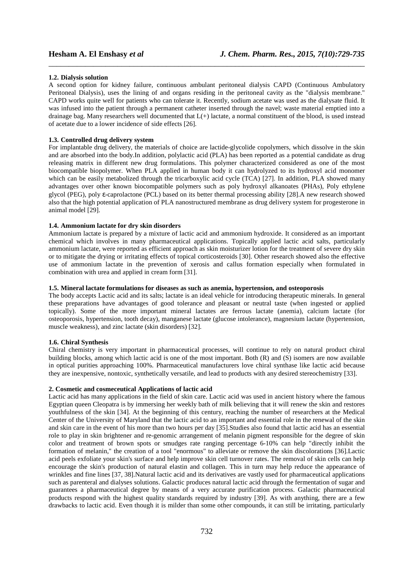#### **1.2. Dialysis solution**

A second option for kidney failure, continuous ambulant peritoneal dialysis CAPD (Continuous Ambulatory Peritoneal Dialysis), uses the lining of and organs residing in the peritoneal cavity as the "dialysis membrane." CAPD works quite well for patients who can tolerate it. Recently, sodium acetate was used as the dialysate fluid. It was infused into the patient through a permanent catheter inserted through the navel; waste material emptied into a drainage bag. Many researchers well documented that  $L(+)$  lactate, a normal constituent of the blood, is used instead of acetate due to a lower incidence of side effects [26].

\_\_\_\_\_\_\_\_\_\_\_\_\_\_\_\_\_\_\_\_\_\_\_\_\_\_\_\_\_\_\_\_\_\_\_\_\_\_\_\_\_\_\_\_\_\_\_\_\_\_\_\_\_\_\_\_\_\_\_\_\_\_\_\_\_\_\_\_\_\_\_\_\_\_\_\_\_\_

#### **1.3. Controlled drug delivery system**

For implantable drug delivery, the materials of choice are lactide-glycolide copolymers, which dissolve in the skin and are absorbed into the body.In addition, polylactic acid (PLA) has been reported as a potential candidate as drug releasing matrix in different new drug formulations. This polymer characterized considered as one of the most biocompatible biopolymer. When PLA applied in human body it can hydrolyzed to its hydroxyl acid monomer which can be easily metabolized through the tricarboxylic acid cycle (TCA) [27]. In addition, PLA showed many advantages over other known biocompatible polymers such as poly hydroxyl alkanoates (PHAs), Poly ethylene glycol (PEG), poly ε-caprolactone (PCL) based on its better thermal processing ability [28].A new research showed also that the high potential application of PLA nanostructured membrane as drug delivery system for progesterone in animal model [29].

#### **1.4. Ammonium lactate for dry skin disorders**

Ammonium lactate is prepared by a mixture of lactic acid and ammonium hydroxide. It considered as an important chemical which involves in many pharmaceutical applications. Topically applied lactic acid salts, particularly ammonium lactate, were reported as efficient approach as skin moisturizer lotion for the treatment of severe dry skin or to mitigate the drying or irritating effects of topical corticosteroids [30]. Other research showed also the effective use of ammonium lactate in the prevention of xerosis and callus formation especially when formulated in combination with urea and applied in cream form [31].

#### **1.5. Mineral lactate formulations for diseases as such as anemia, hypertension, and osteoporosis**

The body accepts Lactic acid and its salts; lactate is an ideal vehicle for introducing therapeutic minerals. In general these preparations have advantages of good tolerance and pleasant or neutral taste (when ingested or applied topically). Some of the more important mineral lactates are ferrous lactate (anemia), calcium lactate (for osteoporosis, hypertension, tooth decay), manganese lactate (glucose intolerance), magnesium lactate (hypertension, muscle weakness), and zinc lactate (skin disorders) [32].

#### **1.6. Chiral Synthesis**

Chiral chemistry is very important in pharmaceutical processes, will continue to rely on natural product chiral building blocks, among which lactic acid is one of the most important. Both (R) and (S) isomers are now available in optical purities approaching 100%. Pharmaceutical manufacturers love chiral synthase like lactic acid because they are inexpensive, nontoxic, synthetically versatile, and lead to products with any desired stereochemistry [33].

#### **2. Cosmetic and cosmeceutical Applications of lactic acid**

Lactic acid has many applications in the field of skin care. Lactic acid was used in ancient history where the famous Egyptian queen Cleopatra is by immersing her weekly bath of milk believing that it will renew the skin and restores youthfulness of the skin [34]. At the beginning of this century, reaching the number of researchers at the Medical Center of the University of Maryland that the lactic acid to an important and essential role in the renewal of the skin and skin care in the event of his more than two hours per day [35].Studies also found that lactic acid has an essential role to play in skin brightener and re-genomic arrangement of melanin pigment responsible for the degree of skin color and treatment of brown spots or smudges rate ranging percentage 6-10% can help "directly inhibit the formation of melanin," the creation of a tool "enormous" to alleviate or remove the skin discolorations [36].Lactic acid peels exfoliate your skin's surface and help improve skin cell turnover rates. The removal of skin cells can help encourage the skin's production of natural elastin and collagen. This in turn may help reduce the appearance of wrinkles and fine lines [37, 38].Natural lactic acid and its derivatives are vastly used for pharmaceutical applications such as parenteral and dialyses solutions. Galactic produces natural lactic acid through the fermentation of sugar and guarantees a pharmaceutical degree by means of a very accurate purification process. Galactic pharmaceutical products respond with the highest quality standards required by industry [39]. As with anything, there are a few drawbacks to lactic acid. Even though it is milder than some other compounds, it can still be irritating, particularly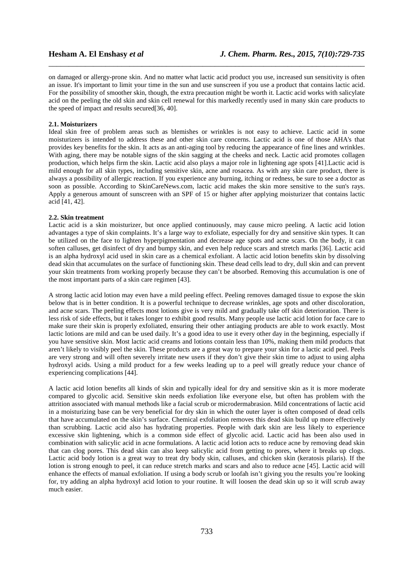on damaged or allergy-prone skin. And no matter what lactic acid product you use, increased sun sensitivity is often an issue. It's important to limit your time in the sun and use sunscreen if you use a product that contains lactic acid. For the possibility of smoother skin, though, the extra precaution might be worth it. Lactic acid works with salicylate acid on the peeling the old skin and skin cell renewal for this markedly recently used in many skin care products to the speed of impact and results secured[36, 40].

\_\_\_\_\_\_\_\_\_\_\_\_\_\_\_\_\_\_\_\_\_\_\_\_\_\_\_\_\_\_\_\_\_\_\_\_\_\_\_\_\_\_\_\_\_\_\_\_\_\_\_\_\_\_\_\_\_\_\_\_\_\_\_\_\_\_\_\_\_\_\_\_\_\_\_\_\_\_

#### **2.1. Moisturizers**

Ideal skin free of problem areas such as blemishes or wrinkles is not easy to achieve. Lactic acid in some moisturizers is intended to address these and other skin care concerns. Lactic acid is one of those AHA's that provides key benefits for the skin. It acts as an anti-aging tool by reducing the appearance of fine lines and wrinkles. With aging, there may be notable signs of the skin sagging at the cheeks and neck. Lactic acid promotes collagen production, which helps firm the skin. Lactic acid also plays a major role in lightening age spots [41].Lactic acid is mild enough for all skin types, including sensitive skin, acne and rosacea. As with any skin care product, there is always a possibility of allergic reaction. If you experience any burning, itching or redness, be sure to see a doctor as soon as possible. According to SkinCareNews.com, lactic acid makes the skin more sensitive to the sun's rays. Apply a generous amount of sunscreen with an SPF of 15 or higher after applying moisturizer that contains lactic  $acid$  [41, 42].

#### **2.2. Skin treatment**

Lactic acid is a skin moisturizer, but once applied continuously, may cause micro peeling. A lactic acid lotion advantages a type of skin complaints. It's a large way to exfoliate, especially for dry and sensitive skin types. It can be utilized on the face to lighten hyperpigmentation and decrease age spots and acne scars. On the body, it can soften calluses, get disinfect of dry and bumpy skin, and even help reduce scars and stretch marks [36]. Lactic acid is an alpha hydroxyl acid used in skin care as a chemical exfoliant. A lactic acid lotion benefits skin by dissolving dead skin that accumulates on the surface of functioning skin. These dead cells lead to dry, dull skin and can prevent your skin treatments from working properly because they can't be absorbed. Removing this accumulation is one of the most important parts of a skin care regimen [43].

A strong lactic acid lotion may even have a mild peeling effect. Peeling removes damaged tissue to expose the skin below that is in better condition. It is a powerful technique to decrease wrinkles, age spots and other discoloration, and acne scars. The peeling effects most lotions give is very mild and gradually take off skin deterioration. There is less risk of side effects, but it takes longer to exhibit good results. Many people use lactic acid lotion for face care to make sure their skin is properly exfoliated, ensuring their other antiaging products are able to work exactly. Most lactic lotions are mild and can be used daily. It's a good idea to use it every other day in the beginning, especially if you have sensitive skin. Most lactic acid creams and lotions contain less than 10%, making them mild products that aren't likely to visibly peel the skin. These products are a great way to prepare your skin for a lactic acid peel. Peels are very strong and will often severely irritate new users if they don't give their skin time to adjust to using alpha hydroxyl acids. Using a mild product for a few weeks leading up to a peel will greatly reduce your chance of experiencing complications [44].

A lactic acid lotion benefits all kinds of skin and typically ideal for dry and sensitive skin as it is more moderate compared to glycolic acid. Sensitive skin needs exfoliation like everyone else, but often has problem with the attrition associated with manual methods like a facial scrub or microdermabrasion. Mild concentrations of lactic acid in a moisturizing base can be very beneficial for dry skin in which the outer layer is often composed of dead cells that have accumulated on the skin's surface. Chemical exfoliation removes this dead skin build up more effectively than scrubbing. Lactic acid also has hydrating properties. People with dark skin are less likely to experience excessive skin lightening, which is a common side effect of glycolic acid. Lactic acid has been also used in combination with salicylic acid in acne formulations. A lactic acid lotion acts to reduce acne by removing dead skin that can clog pores. This dead skin can also keep salicylic acid from getting to pores, where it breaks up clogs. Lactic acid body lotion is a great way to treat dry body skin, calluses, and chicken skin (keratosis pilaris). If the lotion is strong enough to peel, it can reduce stretch marks and scars and also to reduce acne [45]. Lactic acid will enhance the effects of manual exfoliation. If using a body scrub or loofah isn't giving you the results you're looking for, try adding an alpha hydroxyl acid lotion to your routine. It will loosen the dead skin up so it will scrub away much easier.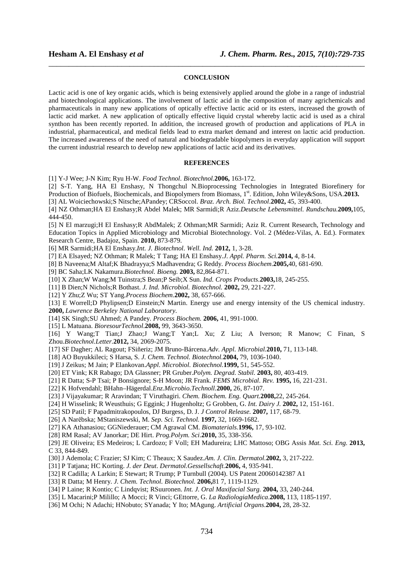#### **CONCLUSION**

\_\_\_\_\_\_\_\_\_\_\_\_\_\_\_\_\_\_\_\_\_\_\_\_\_\_\_\_\_\_\_\_\_\_\_\_\_\_\_\_\_\_\_\_\_\_\_\_\_\_\_\_\_\_\_\_\_\_\_\_\_\_\_\_\_\_\_\_\_\_\_\_\_\_\_\_\_\_

Lactic acid is one of key organic acids, which is being extensively applied around the globe in a range of industrial and biotechnological applications. The involvement of lactic acid in the composition of many agrichemicals and pharmaceuticals in many new applications of optically effective lactic acid or its esters, increased the growth of lactic acid market. A new application of optically effective liquid crystal whereby lactic acid is used as a chiral synthon has been recently reported. In addition, the increased growth of production and applications of PLA in industrial, pharmaceutical, and medical fields lead to extra market demand and interest on lactic acid production. The increased awareness of the need of natural and biodegradable biopolymers in everyday application will support the current industrial research to develop new applications of lactic acid and its derivatives.

#### **REFERENCES**

[1] Y-J Wee; J-N Kim; Ryu H-W. *Food Technol. Biotechnol.***2006,** 163-172.

[2] S-T. Yang, HA El Enshasy, N Thongchul N.Bioprocessing Technologies in Integrated Biorefinery for Production of Biofuels, Biochemicals, and Biopolymers from Biomass, 1<sup>st</sup>. Edition, John Wiley&Sons, USA.2013.

[3] AL Woiciechowski;S Nitsche;APandey; CRSoccol. *Braz. Arch. Biol. Technol*.**2002,** 45, 393-400.

[4] NZ Othman;HA El Enshasy;R Abdel Malek; MR Sarmidi;R Aziz.*Deutsche Lebensmittel. Rundschau.***2009,**105, 444-450.

[5] N El marzugi;H El Enshasy;R AbdMalek; Z Othman;MR Sarmidi; Aziz R. Current Research, Technology and Education Topics in Applied Microbiology and Microbial Biotechnology. Vol. 2 (Médez-Vilas, A. Ed.). Formatex Research Centre, Badajoz, Spain. **2010,** 873-879.

[6] MR Sarmidi;HA El Enshasy.*Int. J. Biotechnol. Well. Ind.* **2012,** 1, 3-28.

[7] EA Elsayed; NZ Othman; R Malek; T Tang; HA El Enshasy.*J. Appl. Pharm. Sci.***2014,** 4, 8-14.

- [8] B Naveena;M Altaf;K Bhadrayya;S Madhavendra; G Reddy. *Process Biochem*.**2005,**40, 681-690.
- [9] BC Saha;LK Nakamura.*Biotechnol. Bioeng.* **2003,** 82,864-871.
- [10] X Zhan;W Wang;M Tuinstra;S Bean;P Seib;X Sun. *Ind. Crops Products*.**2003,**18, 245-255.

[11] B Dien;N Nichols;R Bothast. *J. Ind. Microbiol. Biotechnol.* **2002,** 29, 221-227.

[12] Y Zhu;Z Wu; ST Yang.*Process Biochem*.**2002,** 38, 657-666.

[13] E Worrell;D Phylipsen;D Einstein;N Martin. Energy use and energy intensity of the US chemical industry. **2000,** *Lawrence Berkeley National Laboratory*.

[14] SK Singh;SU Ahmed; A Pandey. *Process Biochem.* **2006,** 41, 991-1000.

[15] L Matuana. *BioresourTechnol*.**2008,** 99, 3643-3650.

[16] Y Wang;T Tian;J Zhao;J Wang;T Yan;L Xu; Z Liu; A Iverson; R Manow; C Finan, S Zhou.*Biotechnol.Letter.***2012,** 34, 2069-2075.

[17] SF Dagher; AL Ragout; FSiñeriz; JM Bruno-Bárcena.*Adv. Appl. Microbial.***2010,** 71, 113-148.

[18] AO Buyukkileci; S Harsa, S. *J. Chem. Technol. Biotechnol.***2004,** 79, 1036-1040.

[19] J Zeikus; M Jain; P Elankovan.*Appl. Microbiol. Biotechnol.***1999,** 51, 545-552.

- [20] ET Vink; KR Rabago; DA Glassner; PR Gruber.*Polym. Degrad. Stabil.* **2003,** 80, 403-419.
- [21] R Datta; S-P Tsai; P Bonsignore; S-H Moon; JR Frank. *FEMS Microbial. Rev.* **1995,** 16, 221-231.

[22] K Hofvendahl; BHahn–Hägerdal.*Enz.Microbio.Technoll.***2000,** 26, 87-107.

- [23] J Vijayakumar; R Aravindan; T Viruthagiri. *Chem. Biochem. Eng. Quart.***2008,**22, 245-264.
- [24] H Wisselink; R Weusthuis; G Eggink; J Hugenholtz; G Grobben, G. *Int. Dairy J.* **2002,** 12, 151-161.
- [25] SD Patil; F Papadmitrakopoulos, DJ Burgess, D. J. *J Control Release.* **2007,** 117, 68-79.
- [26] A Narěbska; MStaniszewski, M. *Sep. Sci. Technol.* **1997,** 32, 1669-1682.
- [27] KA Athanasiou; GGNiederauer; CM Agrawal CM. *Biomaterials.***1996,** 17, 93-102.
- [28] RM Rasal; AV Janorkar; DE Hirt. *Prog.Polym. Sci*.**2010,** 35, 338-356.
- [29] JE Oliveira; ES Medeiros; L Cardozo; F Voll; EH Madureira; LHC Mattoso; OBG Assis *Mat. Sci. Eng.* **2013,**  C 33, 844-849.
- [30] J Ademola; C Frazier; SJ Kim; C Theaux; X Saudez.*Am. J. Clin. Dermatol.***2002,** 3, 217-222.
- [31] P Tatjana; HC Korting. *J. der Deut. Dermatol.Gessellschaft.***2006,** 4, 935-941.
- [32] R Cadilla; A Larkin; E Stewart; R Trump; P Turnbull (2004). US Patent 20060142387 A1
- [33] R Datta; M Henry. *J. Chem. Technol. Biotechnol.* **2006,**81 7, 1119-1129.
- [34] P Laine; R Kontio; C Lindqvist; RSuuronen. *Int. J. Oral Maxifacial Surg.* **2004,** 33, 240-244.
- [35] L Macarini;P Milillo; A Mocci; R Vinci; GEttorre, G. *La RadiologiaMedica*.**2008,** 113, 1185-1197.
- [36] M Ochi; N Adachi; HNobuto; SYanada; Y Ito; MAgung. *Artificial Organs*.**2004,** 28, 28-32.